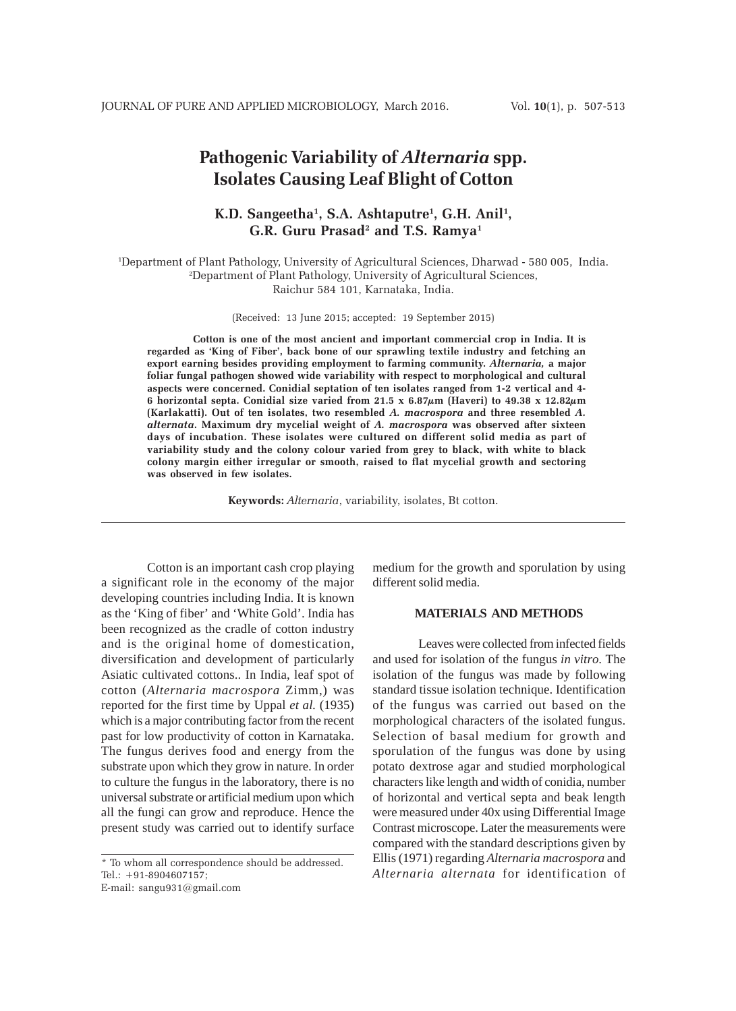# **Pathogenic Variability of** *Alternaria* **spp. Isolates Causing Leaf Blight of Cotton**

## **K.D. Sangeetha1 , S.A. Ashtaputre1 , G.H. Anil1 , G.R. Guru Prasad2 and T.S. Ramya1**

1 Department of Plant Pathology, University of Agricultural Sciences, Dharwad - 580 005, India. 2 Department of Plant Pathology, University of Agricultural Sciences, Raichur 584 101, Karnataka, India.

(Received: 13 June 2015; accepted: 19 September 2015)

**Cotton is one of the most ancient and important commercial crop in India. It is regarded as 'King of Fiber', back bone of our sprawling textile industry and fetching an export earning besides providing employment to farming community.** *Alternaria,* **a major foliar fungal pathogen showed wide variability with respect to morphological and cultural aspects were concerned. Conidial septation of ten isolates ranged from 1-2 vertical and 4- 6 horizontal septa. Conidial size varied from 21.5 x 6.87µm (Haveri) to 49.38 x 12.82µm (Karlakatti). Out of ten isolates, two resembled** *A. macrospora* **and three resembled** *A. alternata***. Maximum dry mycelial weight of** *A. macrospora* **was observed after sixteen days of incubation. These isolates were cultured on different solid media as part of variability study and the colony colour varied from grey to black, with white to black colony margin either irregular or smooth, raised to flat mycelial growth and sectoring was observed in few isolates.**

**Keywords:** *Alternaria*, variability, isolates, Bt cotton.

Cotton is an important cash crop playing a significant role in the economy of the major developing countries including India. It is known as the 'King of fiber' and 'White Gold'. India has been recognized as the cradle of cotton industry and is the original home of domestication, diversification and development of particularly Asiatic cultivated cottons.. In India, leaf spot of cotton (*Alternaria macrospora* Zimm,) was reported for the first time by Uppal *et al.* (1935) which is a major contributing factor from the recent past for low productivity of cotton in Karnataka. The fungus derives food and energy from the substrate upon which they grow in nature. In order to culture the fungus in the laboratory, there is no universal substrate or artificial medium upon which all the fungi can grow and reproduce. Hence the present study was carried out to identify surface

\* To whom all correspondence should be addressed. Tel.: +91-8904607157;

E-mail: sangu931@gmail.com

medium for the growth and sporulation by using different solid media.

### **MATERIALS AND METHODS**

Leaves were collected from infected fields and used for isolation of the fungus *in vitro*. The isolation of the fungus was made by following standard tissue isolation technique. Identification of the fungus was carried out based on the morphological characters of the isolated fungus. Selection of basal medium for growth and sporulation of the fungus was done by using potato dextrose agar and studied morphological characters like length and width of conidia, number of horizontal and vertical septa and beak length were measured under 40x using Differential Image Contrast microscope. Later the measurements were compared with the standard descriptions given by Ellis (1971) regarding *Alternaria macrospora* and *Alternaria alternata* for identification of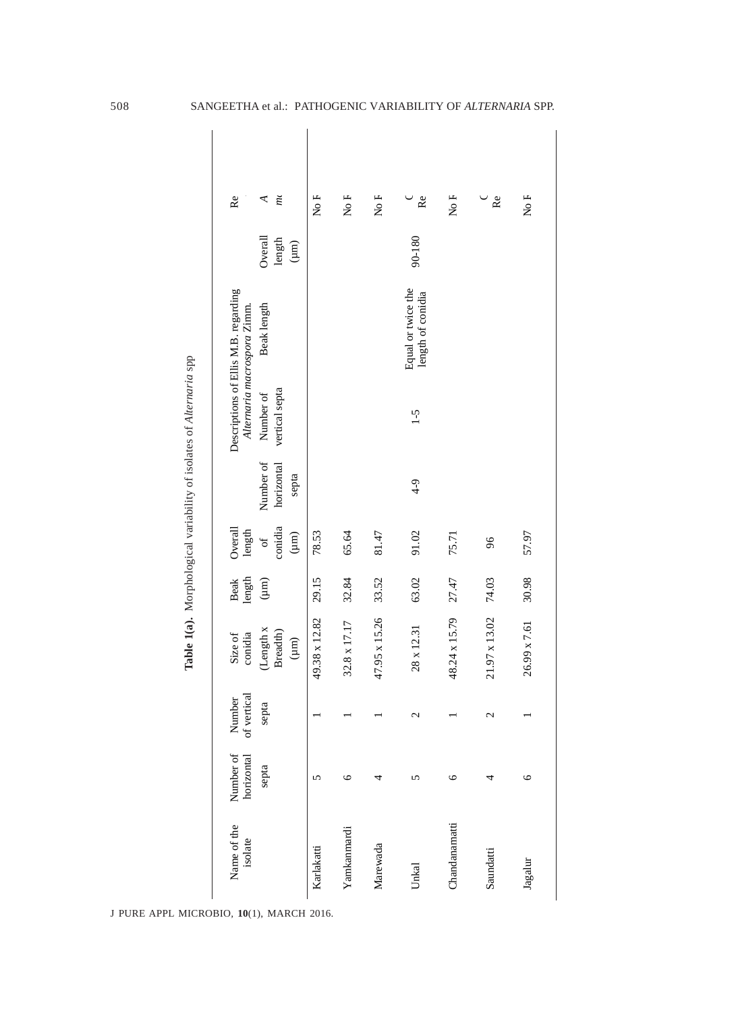|                        |                         |                      |                                    |                       |                                  |                                  | Table 1(a). Morphological variability of isolates of Alternaria spp |                                                                     |                                |               |  |
|------------------------|-------------------------|----------------------|------------------------------------|-----------------------|----------------------------------|----------------------------------|---------------------------------------------------------------------|---------------------------------------------------------------------|--------------------------------|---------------|--|
| Name of the<br>isolate | Number of<br>horizontal | Number<br>of vertica | conidia<br>Size of                 | length<br><b>Beak</b> | Overall<br>length                |                                  |                                                                     | Descriptions of Ellis M.B. regarding<br>Alternaria macrospora Zimm. |                                | Re            |  |
|                        | septa                   | septa                | (Length x<br>Breadth)<br>$(\mu m)$ | $(\mu m)$             | conidia<br>$(\mu m)$<br>$\sigma$ | Number of<br>horizontal<br>septa | vertical septa<br>Number of                                         | Beak length                                                         | Overall<br>length<br>$(\mu m)$ | m<br>⋖        |  |
| Karlakatti             | 5                       |                      | 49.38 x 12.82                      | 29.15                 | 78.53                            |                                  |                                                                     |                                                                     |                                | No F          |  |
| Yamkanmardi            | $\circ$                 |                      | 32.8 x 17.17                       | 32.84                 | 65.64                            |                                  |                                                                     |                                                                     |                                | No F          |  |
| Marewada               | 4                       |                      | 47.95 x 15.26                      | 33.52                 | 81.47                            |                                  |                                                                     |                                                                     |                                | No F          |  |
| Unkal                  | 5                       | $\mathcal{C}$        | 28 x 12.31                         | 63.02                 | 91.02                            | $4 - 9$                          | $\zeta$ -1                                                          | Equal or twice the<br>length of conidia                             | 90-180                         | $\mathsf{Re}$ |  |
| Chandanamatti          | $\circ$                 |                      | 48.24 x 15.79                      | 27.47                 | 75.71                            |                                  |                                                                     |                                                                     |                                | No F          |  |
| Saundatti              | 4                       | $\mathcal{C}$        | 21.97 x 13.02                      | 74.03                 | 96                               |                                  |                                                                     |                                                                     |                                | Re            |  |
| Jagalur                | 9                       |                      | 26.99 x 7.61                       | 30.98                 | 57.97                            |                                  |                                                                     |                                                                     |                                | No F          |  |

508 SANGEETHA et al.: PATHOGENIC VARIABILITY OF *ALTERNARIA* SPP.

J PURE APPL MICROBIO*,* **10**(1), MARCH 2016.

Table 1(a). Morphological variability of isolates of Alternaria spp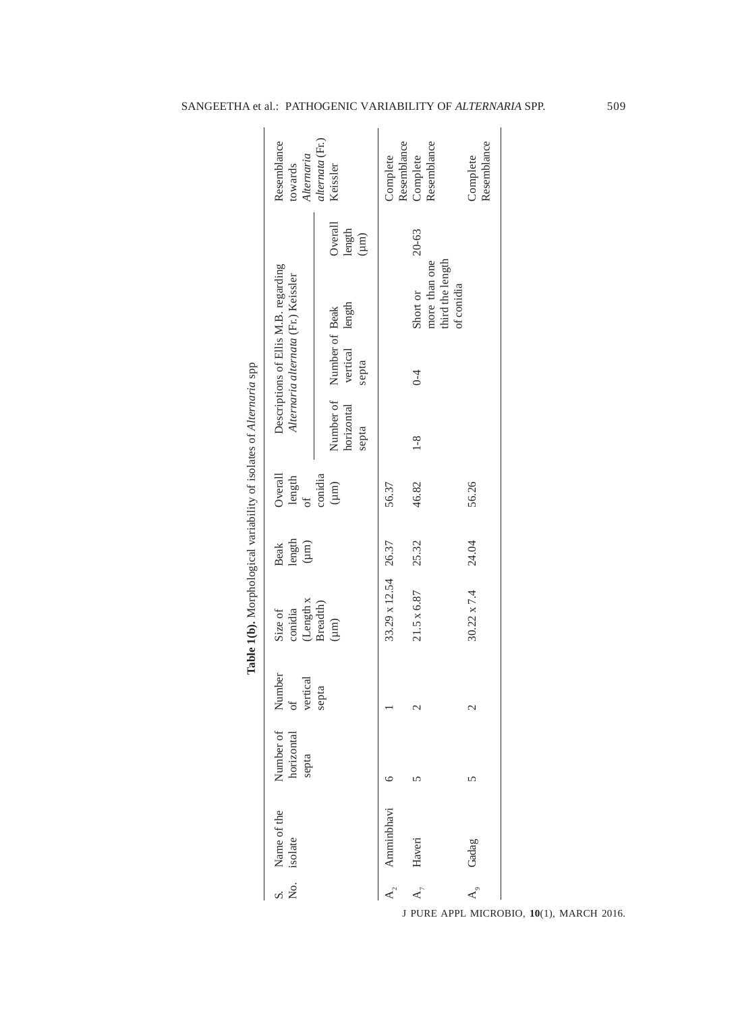| Resemblance<br>Alternaria<br>towards                                        | alternata (Fr.)<br>Keissler<br>Overall<br>$\begin{array}{c} \mathop{\mathrm{length}}\limits_{(\mu m)} \end{array}$ | Resemblance<br>Complete    | Resemblance<br>Complete<br>20-63              | Resemblance<br>Complete |
|-----------------------------------------------------------------------------|--------------------------------------------------------------------------------------------------------------------|----------------------------|-----------------------------------------------|-------------------------|
| Descriptions of Ellis M.B. regarding<br>Alternaria alternata (Fr.) Keissler |                                                                                                                    |                            | third the length<br>more than one<br>Short or | of conidia              |
|                                                                             | vertical length<br>Number of Number of Beak<br>septa                                                               |                            | $0 - 4$                                       |                         |
|                                                                             | horizontal<br>septa                                                                                                |                            | $1 - 8$                                       |                         |
| Overall<br>$\mbox{length}$<br>$\sigma f$                                    | conidia<br>$\rm \, (nm)$                                                                                           | 56.37                      | 46.82                                         | 56.26                   |
| $\limsup_{( \mu,m) }$<br><b>Beak</b>                                        |                                                                                                                    |                            | 25.32                                         | 24.04                   |
| conidia<br>Size of                                                          | $\frac{\text {Length } \mathbf{x}}{\text {Breadth}}$<br>$(\mu m)$                                                  | $33.29 \times 12.54$ 26.37 | 21.5 x 6.87                                   | $30.22 \times 7.4$      |
| mber<br>vertical<br><sup>of</sup><br>$\bar{z}$                              | septa                                                                                                              |                            | $\mathcal{C}$                                 | $\mathcal{C}$           |
| Number of<br>horizontal<br>septa                                            |                                                                                                                    | ⊾                          | 5                                             | 5                       |
| S. Name of the<br>No. isolate                                               |                                                                                                                    | Amminbhavi                 | $A_7$ Haveri                                  | A <sub>9</sub> Gadag    |
|                                                                             |                                                                                                                    |                            |                                               |                         |

## SANGEETHA et al.: PATHOGENIC VARIABILITY OF *ALTERNARIA* SPP. 509

J PURE APPL MICROBIO*,* **10**(1), MARCH 2016.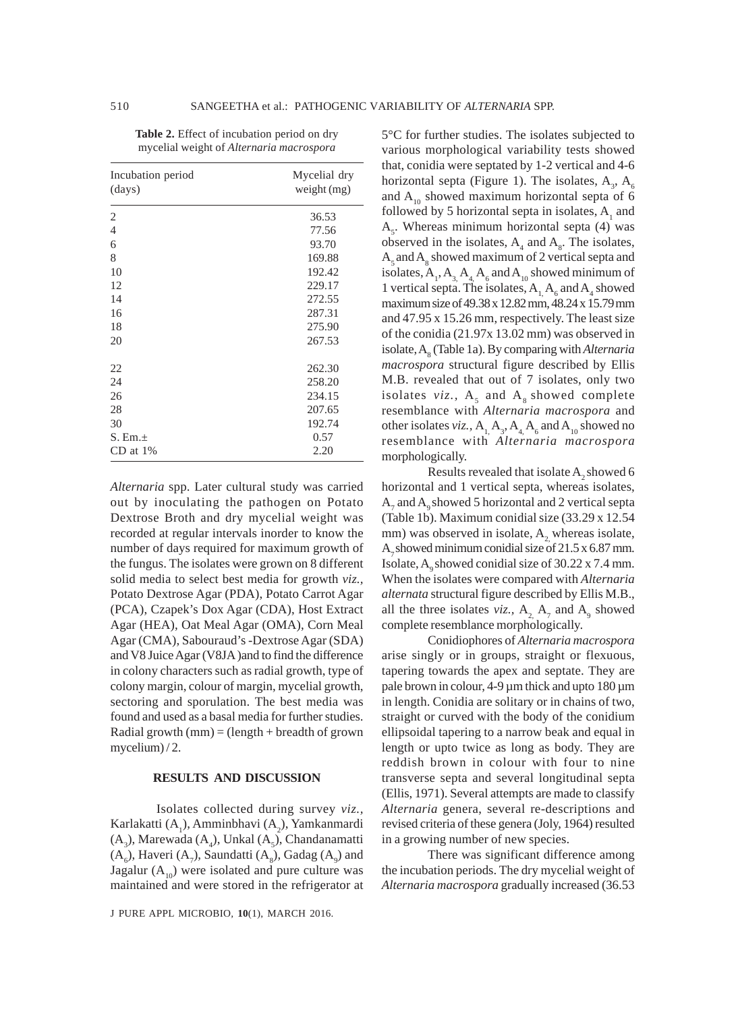| Incubation period | Mycelial dry  |
|-------------------|---------------|
| (days)            | weight $(mg)$ |
| 2                 | 36.53         |
| $\overline{4}$    | 77.56         |
| 6                 | 93.70         |
| 8                 | 169.88        |
| 10                | 192.42        |
| 12                | 229.17        |
| 14                | 272.55        |
| 16                | 287.31        |
| 18                | 275.90        |
| 20                | 267.53        |
| 22                | 262.30        |
| 24                | 258.20        |
| 26                | 234.15        |
| 28                | 207.65        |
| 30                | 192.74        |
| $S. Em. \pm$      | 0.57          |
| $CD$ at $1\%$     | 2.20          |

**Table 2.** Effect of incubation period on dry mycelial weight of *Alternaria macrospora*

*Alternaria* spp. Later cultural study was carried out by inoculating the pathogen on Potato Dextrose Broth and dry mycelial weight was recorded at regular intervals inorder to know the number of days required for maximum growth of the fungus. The isolates were grown on 8 different solid media to select best media for growth *viz.,* Potato Dextrose Agar (PDA), Potato Carrot Agar (PCA), Czapek's Dox Agar (CDA), Host Extract Agar (HEA), Oat Meal Agar (OMA), Corn Meal Agar (CMA), Sabouraud's -Dextrose Agar (SDA) and V8 Juice Agar (V8JA )and to find the difference in colony characters such as radial growth, type of colony margin, colour of margin, mycelial growth, sectoring and sporulation. The best media was found and used as a basal media for further studies. Radial growth  $(mm) = (length + breadth of grown)$ mycelium) / 2.

#### **RESULTS AND DISCUSSION**

Isolates collected during survey *viz.,* Karlakatti  $(A_1)$ , Amminbhavi  $(A_2)$ , Yamkanmardi  $(A_3)$ , Marewada  $(A_4)$ , Unkal  $(A_5)$ , Chandanamatti  $(A_6)$ , Haveri  $(A_7)$ , Saundatti  $(A_8)$ , Gadag  $(A_9)$  and Jagalur  $(A_{10})$  were isolated and pure culture was maintained and were stored in the refrigerator at

J PURE APPL MICROBIO*,* **10**(1), MARCH 2016.

5°C for further studies. The isolates subjected to various morphological variability tests showed that, conidia were septated by 1-2 vertical and 4-6 horizontal septa (Figure 1). The isolates,  $A_3$ ,  $A_6$ and  $A_{10}$  showed maximum horizontal septa of 6 followed by 5 horizontal septa in isolates,  $A_1$  and  $A<sub>5</sub>$ . Whereas minimum horizontal septa (4) was observed in the isolates,  $A_4$  and  $A_8$ . The isolates,  $A_5$  and  $A_8$  showed maximum of 2 vertical septa and isolates,  $A_1$ ,  $A_3$ ,  $A_4$ ,  $A_6$  and  $A_{10}$  showed minimum of 1 vertical septa. The isolates,  $A_1, A_6$  and  $A_4$  showed maximum size of 49.38 x 12.82 mm, 48.24 x 15.79 mm and 47.95 x 15.26 mm, respectively. The least size of the conidia (21.97x 13.02 mm) was observed in isolate, A8 (Table 1a). By comparing with *Alternaria macrospora* structural figure described by Ellis M.B. revealed that out of 7 isolates, only two isolates  $viz., A<sub>5</sub>$  and  $A<sub>8</sub>$  showed complete resemblance with *Alternaria macrospora* and other isolates *viz.*,  $A_1, A_3, A_4, A_6$  and  $A_{10}$  showed no resemblance with *Alternaria macrospora* morphologically.

Results revealed that isolate  $A_2$  showed 6 horizontal and 1 vertical septa, whereas isolates,  $A_7$  and  $A_9$  showed 5 horizontal and 2 vertical septa (Table 1b). Maximum conidial size (33.29 x 12.54 mm) was observed in isolate, A<sub>2</sub>, whereas isolate, A<sub>7</sub> showed minimum conidial size of  $21.5 \times 6.87$  mm. Isolate,  $A_0$  showed conidial size of 30.22 x 7.4 mm. When the isolates were compared with *Alternaria alternata* structural figure described by Ellis M.B., all the three isolates *viz.*,  $A_2$ ,  $A_7$  and  $A_9$  showed complete resemblance morphologically.

Conidiophores of *Alternaria macrospora* arise singly or in groups, straight or flexuous, tapering towards the apex and septate. They are pale brown in colour,  $4-9 \mu$ m thick and upto  $180 \mu$ m in length. Conidia are solitary or in chains of two, straight or curved with the body of the conidium ellipsoidal tapering to a narrow beak and equal in length or upto twice as long as body. They are reddish brown in colour with four to nine transverse septa and several longitudinal septa (Ellis, 1971). Several attempts are made to classify *Alternaria* genera, several re-descriptions and revised criteria of these genera (Joly, 1964) resulted in a growing number of new species.

There was significant difference among the incubation periods. The dry mycelial weight of *Alternaria macrospora* gradually increased (36.53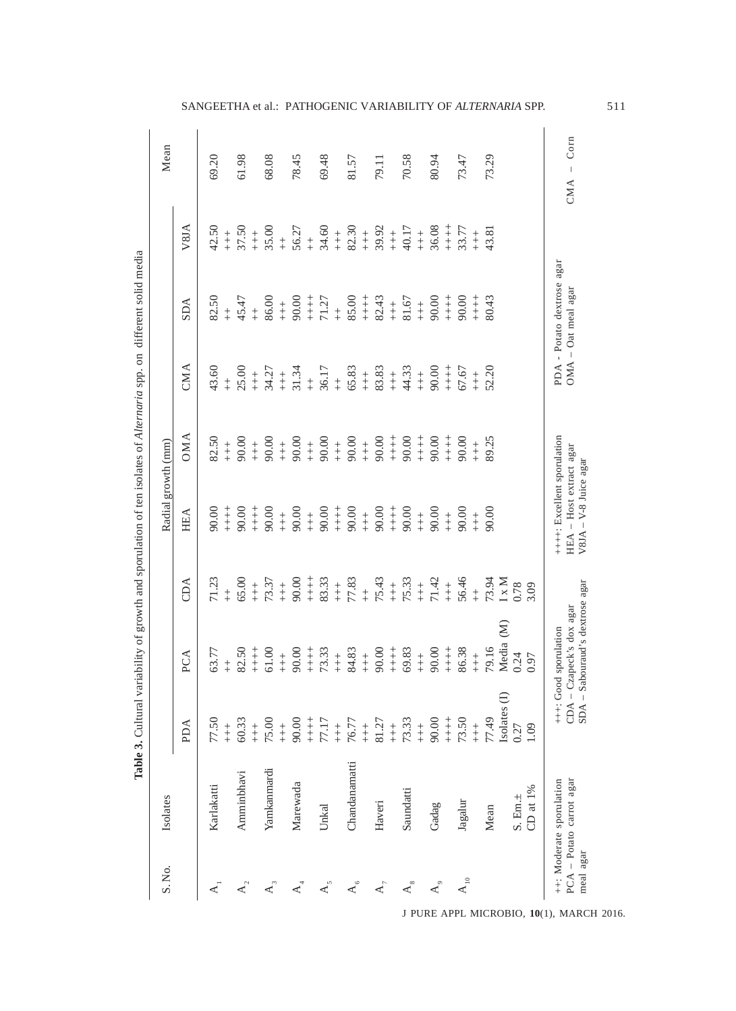| S. No.                                           | Isolates                                             |                                                                                                                                                                                                                                                                                                                                                                                                                |                                                                       |                                                                                                                                                                | Radial growth (mm)                                                                |                                                                                                                                                                                                                                                                                                          |                                                                                   |                                                                                |                                                                                                                                                                        | Mean                     |
|--------------------------------------------------|------------------------------------------------------|----------------------------------------------------------------------------------------------------------------------------------------------------------------------------------------------------------------------------------------------------------------------------------------------------------------------------------------------------------------------------------------------------------------|-----------------------------------------------------------------------|----------------------------------------------------------------------------------------------------------------------------------------------------------------|-----------------------------------------------------------------------------------|----------------------------------------------------------------------------------------------------------------------------------------------------------------------------------------------------------------------------------------------------------------------------------------------------------|-----------------------------------------------------------------------------------|--------------------------------------------------------------------------------|------------------------------------------------------------------------------------------------------------------------------------------------------------------------|--------------------------|
|                                                  |                                                      | PDA                                                                                                                                                                                                                                                                                                                                                                                                            | PCA                                                                   | CDA                                                                                                                                                            | HEA                                                                               | <b>OMA</b>                                                                                                                                                                                                                                                                                               | CMA                                                                               | <b>SDA</b>                                                                     | V8JA                                                                                                                                                                   |                          |
| $\overline{A}$                                   | Karlakatti                                           | 77.50                                                                                                                                                                                                                                                                                                                                                                                                          | 63.77                                                                 | 71.23                                                                                                                                                          | 90.00                                                                             | 82.50                                                                                                                                                                                                                                                                                                    | 43.60                                                                             | 82.50                                                                          | 42.50                                                                                                                                                                  | 69.20                    |
|                                                  |                                                      | $\begin{array}{c} + \\ + \\ + \end{array}$                                                                                                                                                                                                                                                                                                                                                                     |                                                                       |                                                                                                                                                                | $+ +$<br>$+ +$                                                                    |                                                                                                                                                                                                                                                                                                          |                                                                                   |                                                                                |                                                                                                                                                                        |                          |
| $A_{2}$                                          | Amminbhavi                                           | 60.33                                                                                                                                                                                                                                                                                                                                                                                                          |                                                                       | $+8.00$                                                                                                                                                        | 90.00                                                                             | $+8.00$                                                                                                                                                                                                                                                                                                  | $+8.00$                                                                           | $+5.47$<br>$+5.47$<br>$+6.00$<br>$+6.00$                                       | $+ + +$<br>37.50                                                                                                                                                       | 61.98                    |
|                                                  |                                                      | $\overset{+}{+}$                                                                                                                                                                                                                                                                                                                                                                                               |                                                                       |                                                                                                                                                                | $+$<br>$+$<br>$+$                                                                 | $\overset{+}{+}$                                                                                                                                                                                                                                                                                         |                                                                                   |                                                                                |                                                                                                                                                                        |                          |
| $\mathbf{A}_3$                                   | Yamkanmardi                                          | $75.00 + +$                                                                                                                                                                                                                                                                                                                                                                                                    |                                                                       | $+37$<br>$+37$<br>$+37$<br>$+37$<br>$+37$<br>$+37$<br>$+37$<br>$+37$<br>$+37$<br>$+37$<br>$+37$<br>$+37$<br>$+37$<br>$+37$<br>$+37$<br>$+37$<br>$+37$<br>$+37$ |                                                                                   | $90.00 + 90.00$                                                                                                                                                                                                                                                                                          | $+4.27$<br>$+3.4.27$<br>$+3.34$<br>$+3.5$<br>$+6.5$<br>$+6.5$<br>$+8.3$<br>$+8.3$ |                                                                                | $+8.5$<br>$+8.5$<br>$+8.5$<br>$+8.5$<br>$+8.5$<br>$+8.5$<br>$+8.5$<br>$+8.5$<br>$+8.5$<br>$+8.5$<br>$+8.5$<br>$+8.5$<br>$+8.5$<br>$+8.5$<br>$+8.5$<br>$+8.5$<br>$+8.5$ | 68.08                    |
|                                                  |                                                      |                                                                                                                                                                                                                                                                                                                                                                                                                |                                                                       |                                                                                                                                                                |                                                                                   |                                                                                                                                                                                                                                                                                                          |                                                                                   |                                                                                |                                                                                                                                                                        |                          |
| $\operatorname{\mathsf{A}}^{\operatorname{I}}_A$ | Marewada                                             | 90.00                                                                                                                                                                                                                                                                                                                                                                                                          |                                                                       |                                                                                                                                                                |                                                                                   |                                                                                                                                                                                                                                                                                                          |                                                                                   |                                                                                |                                                                                                                                                                        | 78.45                    |
|                                                  |                                                      |                                                                                                                                                                                                                                                                                                                                                                                                                |                                                                       |                                                                                                                                                                |                                                                                   |                                                                                                                                                                                                                                                                                                          |                                                                                   |                                                                                |                                                                                                                                                                        |                          |
|                                                  | Unkal                                                | $+17$<br>$77$<br>$77$<br>$77$<br>$77$<br>$77$<br>$77$<br>$77$<br>$77$<br>$77$<br>$77$<br>$77$<br>$77$<br>$77$<br>$77$<br>$77$                                                                                                                                                                                                                                                                                  |                                                                       |                                                                                                                                                                |                                                                                   | $+8$<br>$+6$<br>$+6$<br>$+6$<br>$+6$<br>$+6$<br>$+6$<br>$+6$<br>$+6$<br>$+6$<br>$+6$<br>$+6$<br>$+6$<br>$+6$<br>$+6$<br>$+6$<br>$+6$<br>$+6$<br>$+6$<br>$+6$<br>$+6$<br>$+6$<br>$+6$<br>$+6$<br>$+6$<br>$+6$<br>$+6$<br>$+6$<br>$+6$<br>$+6$<br>$+6$<br>$+6$<br>$+6$<br>$+6$<br>$+6$<br>$+6$<br>$+6$<br> |                                                                                   | $+ + +$<br>$71.27$<br>$+ +$ 85.00<br>$+ +$ 34.43<br>$+ +$ 32.45<br>$+ +$ 31.67 |                                                                                                                                                                        | 69.48                    |
|                                                  |                                                      |                                                                                                                                                                                                                                                                                                                                                                                                                |                                                                       |                                                                                                                                                                |                                                                                   |                                                                                                                                                                                                                                                                                                          |                                                                                   |                                                                                |                                                                                                                                                                        |                          |
| $A_{6}$                                          | Chandanamatti                                        |                                                                                                                                                                                                                                                                                                                                                                                                                |                                                                       |                                                                                                                                                                |                                                                                   |                                                                                                                                                                                                                                                                                                          |                                                                                   |                                                                                |                                                                                                                                                                        | 81.57                    |
|                                                  |                                                      |                                                                                                                                                                                                                                                                                                                                                                                                                |                                                                       |                                                                                                                                                                |                                                                                   |                                                                                                                                                                                                                                                                                                          |                                                                                   |                                                                                |                                                                                                                                                                        |                          |
| $\mathbf{A}_{_7}$                                | Haveri                                               |                                                                                                                                                                                                                                                                                                                                                                                                                |                                                                       |                                                                                                                                                                |                                                                                   |                                                                                                                                                                                                                                                                                                          |                                                                                   |                                                                                |                                                                                                                                                                        | 79.11                    |
|                                                  |                                                      |                                                                                                                                                                                                                                                                                                                                                                                                                |                                                                       |                                                                                                                                                                |                                                                                   |                                                                                                                                                                                                                                                                                                          |                                                                                   |                                                                                |                                                                                                                                                                        |                          |
| $\overline{\mathbf{A}}_{_{\mathrm{S}}}$          | Saundatti                                            |                                                                                                                                                                                                                                                                                                                                                                                                                |                                                                       |                                                                                                                                                                |                                                                                   |                                                                                                                                                                                                                                                                                                          | $+4.33$                                                                           |                                                                                |                                                                                                                                                                        | 70.58                    |
|                                                  |                                                      |                                                                                                                                                                                                                                                                                                                                                                                                                |                                                                       |                                                                                                                                                                |                                                                                   |                                                                                                                                                                                                                                                                                                          | $\begin{array}{c} + \\ + \\ + \end{array}$                                        |                                                                                |                                                                                                                                                                        |                          |
| $\mathbf{A}_\mathrm{g}$                          | Gadag                                                |                                                                                                                                                                                                                                                                                                                                                                                                                |                                                                       |                                                                                                                                                                |                                                                                   |                                                                                                                                                                                                                                                                                                          | 90.00                                                                             | $+ +$<br>90.00                                                                 |                                                                                                                                                                        | 80.94                    |
|                                                  |                                                      |                                                                                                                                                                                                                                                                                                                                                                                                                |                                                                       |                                                                                                                                                                |                                                                                   | $+ +$<br>$+$<br>$+$                                                                                                                                                                                                                                                                                      | $\begin{array}{c} + \\ + \\ + \end{array}$                                        |                                                                                | $+ +$<br>$+$                                                                                                                                                           |                          |
| $\mathbf{A}_{_{10}}$                             | Jagalur                                              | $+++$<br>73.50                                                                                                                                                                                                                                                                                                                                                                                                 |                                                                       | $+ + +$<br>56.46                                                                                                                                               |                                                                                   | 90.00                                                                                                                                                                                                                                                                                                    | 67.67                                                                             | $+ + +$<br>90.00                                                               | 33.77                                                                                                                                                                  | 73.47                    |
|                                                  |                                                      | $\overset{+}{+}$                                                                                                                                                                                                                                                                                                                                                                                               |                                                                       |                                                                                                                                                                |                                                                                   | $\begin{array}{c} + \\ + \\ + \end{array}$                                                                                                                                                                                                                                                               | $\frac{+}{+}$                                                                     | $\begin{array}{c} + \\ + \\ + \end{array}$                                     | $\begin{array}{c} + \\ + \\ + \end{array}$                                                                                                                             |                          |
|                                                  | Mean                                                 | 77.49                                                                                                                                                                                                                                                                                                                                                                                                          | $+ + +$<br>79.16                                                      |                                                                                                                                                                | $+ + +$<br>90.00                                                                  | 89.25                                                                                                                                                                                                                                                                                                    | 52.20                                                                             | 80.43                                                                          | 43.81                                                                                                                                                                  | 73.29                    |
|                                                  |                                                      | Isolates                                                                                                                                                                                                                                                                                                                                                                                                       | $\widehat{\mathbf{z}}$<br>Media<br>0.24                               | $^{++}_{73.94}$<br>1 x M<br>1 x M<br>0.78                                                                                                                      |                                                                                   |                                                                                                                                                                                                                                                                                                          |                                                                                   |                                                                                |                                                                                                                                                                        |                          |
|                                                  | S. Em.±                                              | 0.27                                                                                                                                                                                                                                                                                                                                                                                                           |                                                                       |                                                                                                                                                                |                                                                                   |                                                                                                                                                                                                                                                                                                          |                                                                                   |                                                                                |                                                                                                                                                                        |                          |
|                                                  | CD at $1\%$                                          | 1.09                                                                                                                                                                                                                                                                                                                                                                                                           | 0.97                                                                  | 3.09                                                                                                                                                           |                                                                                   |                                                                                                                                                                                                                                                                                                          |                                                                                   |                                                                                |                                                                                                                                                                        |                          |
| meal agar                                        | PCA - Potato carrot agar<br>++: Moderate sporulation | $\begin{array}{c} \rule{0pt}{2.5ex} \rule{0pt}{2.5ex} \rule{0pt}{2.5ex} \rule{0pt}{2.5ex} \rule{0pt}{2.5ex} \rule{0pt}{2.5ex} \rule{0pt}{2.5ex} \rule{0pt}{2.5ex} \rule{0pt}{2.5ex} \rule{0pt}{2.5ex} \rule{0pt}{2.5ex} \rule{0pt}{2.5ex} \rule{0pt}{2.5ex} \rule{0pt}{2.5ex} \rule{0pt}{2.5ex} \rule{0pt}{2.5ex} \rule{0pt}{2.5ex} \rule{0pt}{2.5ex} \rule{0pt}{2.5ex} \rule{0$<br>$\ddot{+}$<br>$CDA$<br>SDA | Sabouraud's dextrose agar<br>- Czapeck's dox agar<br>Good sporulation |                                                                                                                                                                | ++++: Excellent sporulation<br>HEA - Host extract agar<br>$V8JA - V-8$ Juice agar |                                                                                                                                                                                                                                                                                                          |                                                                                   | agar<br>PDA - Potato dextrose<br>OMA - Oat meal agar                           |                                                                                                                                                                        | Corn<br>$\bar{1}$<br>CMA |
|                                                  |                                                      |                                                                                                                                                                                                                                                                                                                                                                                                                |                                                                       |                                                                                                                                                                |                                                                                   |                                                                                                                                                                                                                                                                                                          |                                                                                   |                                                                                |                                                                                                                                                                        |                          |

SANGEETHA et al.: PATHOGENIC VARIABILITY OF *ALTERNARIA* SPP. 511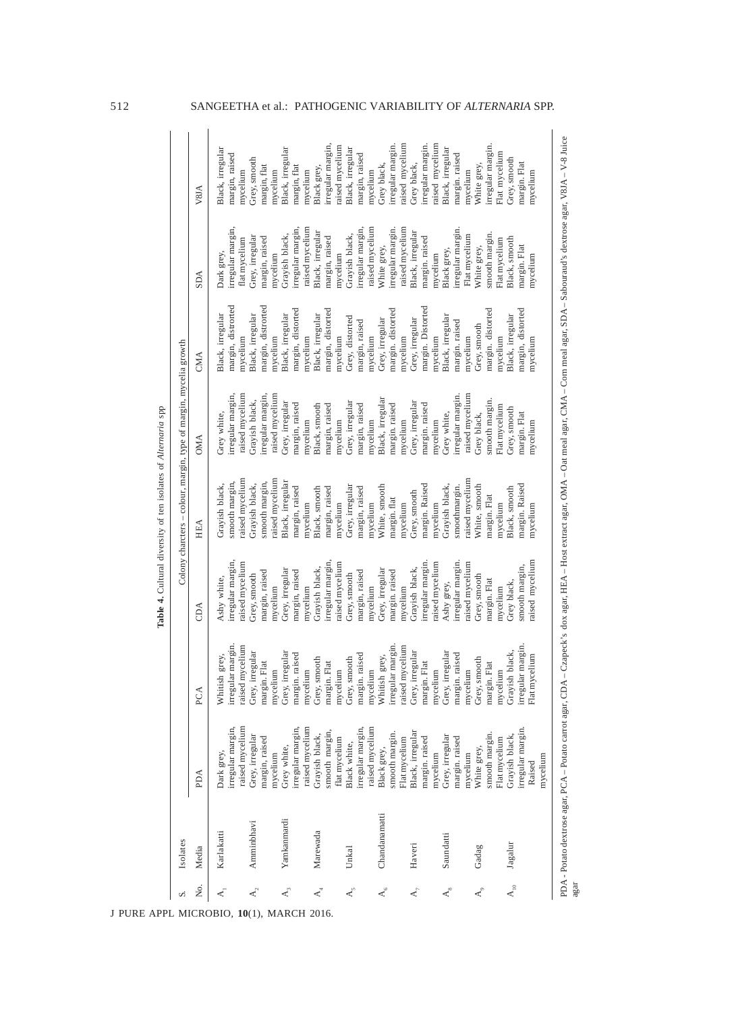| vi                                 | Isolates           |                                                              |                                                               |                                                                   |                                                                    | Colony charcters - colour, margin, type of margin, mycelia growth                                                                                                                                    |                                                                |                                                                        |                                                                 |
|------------------------------------|--------------------|--------------------------------------------------------------|---------------------------------------------------------------|-------------------------------------------------------------------|--------------------------------------------------------------------|------------------------------------------------------------------------------------------------------------------------------------------------------------------------------------------------------|----------------------------------------------------------------|------------------------------------------------------------------------|-----------------------------------------------------------------|
| ż.                                 | Media              | PDA                                                          | PCA                                                           | CDA                                                               | HEA                                                                | <b>OMA</b>                                                                                                                                                                                           | CMA                                                            | <b>AGS</b>                                                             | V8JA                                                            |
| $\prec$                            | Karlakatti         | raised mycelium<br>irregular margin,<br>Dark grey,           | irregular margin<br>raised mycelium<br>Whitish grey,          | rregular margin.<br>aised mycelium<br>Ashy white,                 | aised mycelium<br>snooth margin,<br>Grayish black,                 | raised mycelium<br>rregular margin,<br>Grey white,                                                                                                                                                   | margin, distrorted<br>Black, irregular<br>mycelium             | rregular margin,<br>flat mycelium<br>Dark grey,                        | Black, irregular<br>margin, raised<br>mycelium                  |
| $\mathbf{A}_2$                     | Amminbhavi         | Grey, irregular<br>margin, raised<br>mycelium                | Grey, irregular<br>margin. Flat<br>mycelium                   | margin, raised<br>Grey, smooth<br>mycelium                        | aised mycelium<br>snooth margin,<br>Grayish black,                 | irregular margin,<br>raised mycelium<br>Gravish black,                                                                                                                                               | nargin, distrorted<br>Black, irregular<br>nycelium             | Grey, irregular<br>margin, raised<br>nycelium                          | Grey, smooth<br>margin, flat<br>mycelium                        |
| $\mathbf{A}^3$                     | Yamkanmardi        | irregular margin,<br>raised mycelium<br>Grey white,          | Grey, irregular<br>margin. raised<br>mycelium                 | Grey, irregular<br>margin, raised<br>mycelium                     | Black, irregular<br>margin, raised<br>nycelium                     | Grey, irregular<br>margin, raised<br>mycelium                                                                                                                                                        | nargin, distorted<br>Black, irregular<br>mycelium              | raised mycelium<br>irregular margin<br>Grayish black,                  | Black, irregular<br>margin, flat<br>mycelium                    |
| $\mathbf{A}^4$                     | Marewada           | smooth margin,<br>Grayish black,<br>flat mycelium            | Grey, smooth<br>margin. Flat                                  | irregular margin<br>Grayish black,                                | Black, smooth<br>margin, raised<br>nycelium                        | Black, smooth<br>margin, raised<br>mycelium                                                                                                                                                          | margin, distorted<br>Black, irregular<br>mycelium              | Black, irregular<br>margin, raised<br>mycelium                         | irregular margin,<br>raised mycelium<br>Black grey,             |
| $\mathbf{A}_{\mathbf{5}}^{\prime}$ | Unkal              | irregular margin,<br>raised mycelium<br>Black white,         | margin. raised<br>Grey, smooth<br>mycelium<br>mycelium        | raised mycelium<br>margin, raised<br>Grey, smooth                 | Grey, irregular<br>margin, raised                                  | Grey, irregular<br>margin, raised                                                                                                                                                                    | Grey, distorted<br>margin, raised                              | irregular margin,<br>Grayish black,                                    | Black, irregular<br>margin, raised                              |
| $\mathcal{A}_{6}^{6}$              | Chandanamatti      | smooth margin.<br>Flat mycelium<br>Black grey,               | irregular margin.<br>raised mycelium<br>Whitish grey,         | Grey, irregular<br>margin. raised<br>mycelium<br>mycelium         | White, smooth<br>margin. flat<br>mycelium<br>mycelium              | Black, irregular<br>margin. raised<br>mycelium<br>mycelium                                                                                                                                           | nargin. distorted<br>Grey, irregular<br>mycelium<br>mycelium   | raised mycelium<br>raised mycelium<br>irregular margin.<br>White grey, | raised mycelium<br>irregular margin.<br>Grey black,<br>mycelium |
| $\mathbf{A}_{\tau}$                | Haveri             | Black, irregular<br>margin. raised<br>mycelium               | Grey, irregular<br>margin. Flat<br>mycelium                   | irregular margin<br>raised mycelium<br>Grayish black,             | margin. Raised<br>Grey, smooth<br>mycelium                         | Grey, irregular<br>margin. raised<br>mycelium                                                                                                                                                        | nargin. Distorted<br>Grey, irregular<br>nycelium               | Black, irregular<br>margin. raised<br>mycelium                         | irregular margin.<br>aised mycelium<br>Grey black,              |
| $\mathbf{A}_{s}$                   | Saundatti<br>Gadag | Grey, irregular<br>margin. raised<br>White grey,<br>mycelium | Grey, irregular<br>margin. raised<br>Grey, smooth<br>mycelium | irregular margin.<br>aised mycelium<br>Grey, smooth<br>Ashy grey, | aised mycelium<br>Grayish black,<br>snoothmargin.<br>White, smooth | raised mycelium<br>irregular margin.<br>Grey white,<br>Grey black,                                                                                                                                   | Black, irregular<br>margin. raised<br>Grey, smooth<br>nycelium | irregular margin.<br>Flat mycelium<br>White grey,<br>Black grey,       | Black, irregular<br>margin. raised<br>White grey,<br>mycelium   |
|                                    |                    | smooth margin.<br>Flat mycelium                              | margin. Flat<br>mycelium                                      | margin. Flat<br>mycelium                                          | margin. Flat<br>mycelium                                           | smooth margin.<br>Flat mycelium                                                                                                                                                                      | margin. distorted<br>mycelium                                  | smooth margin.<br>Flat mycelium                                        | irregular margin.<br>Flat mycelium                              |
| $\mathsf{A}_{_{10}}$               | Jagalur            | irregular margin<br>Grayish black,<br>mycelium<br>Raised     | irregular margin.<br>Grayish black,<br>Flat mycelium          | raised mycelium<br>smooth margin,<br>Grey black,                  | margin. Raised<br>Black, smooth<br>mycelium                        | Grey, smooth<br>margin. Flat<br>mycelium                                                                                                                                                             | margin, distorted<br>Black, irregular<br>mycelium              | Black, smooth<br>margin. Flat<br>mycelium                              | Grey, smooth<br>margin. Flat<br>mycelium                        |
| agar                               |                    |                                                              |                                                               |                                                                   |                                                                    | PDA - Potato dextrose agar, PCA - Potato carrot agar, CDA - Czapeck's dox agar, HEA - Host extract agar, OMA - Oat meal agar, CMA - Com meal agar, SDA - Sabouraud's dextrose agar, V81A - V-8 Juice |                                                                |                                                                        |                                                                 |

J PURE APPL MICROBIO*,* **10**(1), MARCH 2016.

**Table 4.** Cultural diversity of ten isolates of *Alternaria* spp

Table 4. Cultural diversity of ten isolates of Alternaria spp

# 512 SANGEETHA et al.: PATHOGENIC VARIABILITY OF *ALTERNARIA* SPP.